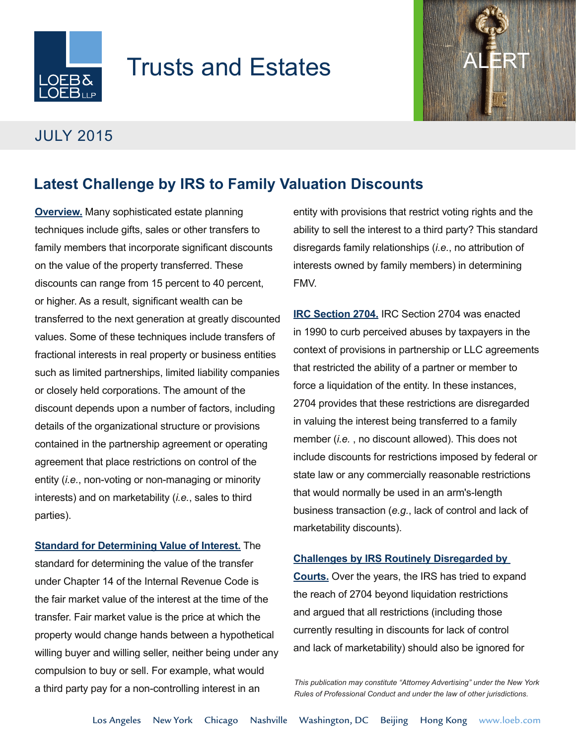

# **Trusts and Estates**



### JULY 2015

## **Latest Challenge by IRS to Family Valuation Discounts**

**Overview.** Many sophisticated estate planning techniques include gifts, sales or other transfers to family members that incorporate significant discounts on the value of the property transferred. These discounts can range from 15 percent to 40 percent, or higher. As a result, significant wealth can be transferred to the next generation at greatly discounted values. Some of these techniques include transfers of fractional interests in real property or business entities such as limited partnerships, limited liability companies or closely held corporations. The amount of the discount depends upon a number of factors, including details of the organizational structure or provisions contained in the partnership agreement or operating agreement that place restrictions on control of the entity (*i.e.*, non-voting or non-managing or minority interests) and on marketability (*i.e.*, sales to third parties).

**Standard for Determining Value of Interest.** The standard for determining the value of the transfer under Chapter 14 of the Internal Revenue Code is the fair market value of the interest at the time of the transfer. Fair market value is the price at which the property would change hands between a hypothetical willing buyer and willing seller, neither being under any compulsion to buy or sell. For example, what would a third party pay for a non-controlling interest in an

entity with provisions that restrict voting rights and the ability to sell the interest to a third party? This standard disregards family relationships (*i.e.*, no attribution of interests owned by family members) in determining FMV.

**IRC Section 2704.** IRC Section 2704 was enacted in 1990 to curb perceived abuses by taxpayers in the context of provisions in partnership or LLC agreements that restricted the ability of a partner or member to force a liquidation of the entity. In these instances, 2704 provides that these restrictions are disregarded in valuing the interest being transferred to a family member (*i.e.* , no discount allowed). This does not include discounts for restrictions imposed by federal or state law or any commercially reasonable restrictions that would normally be used in an arm's-length business transaction (*e.g.*, lack of control and lack of marketability discounts).

### **Challenges by IRS Routinely Disregarded by**

**Courts.** Over the years, the IRS has tried to expand the reach of 2704 beyond liquidation restrictions and argued that all restrictions (including those currently resulting in discounts for lack of control and lack of marketability) should also be ignored for

*This publication may constitute "Attorney Advertising" under the New York Rules of Professional Conduct and under the law of other jurisdictions.*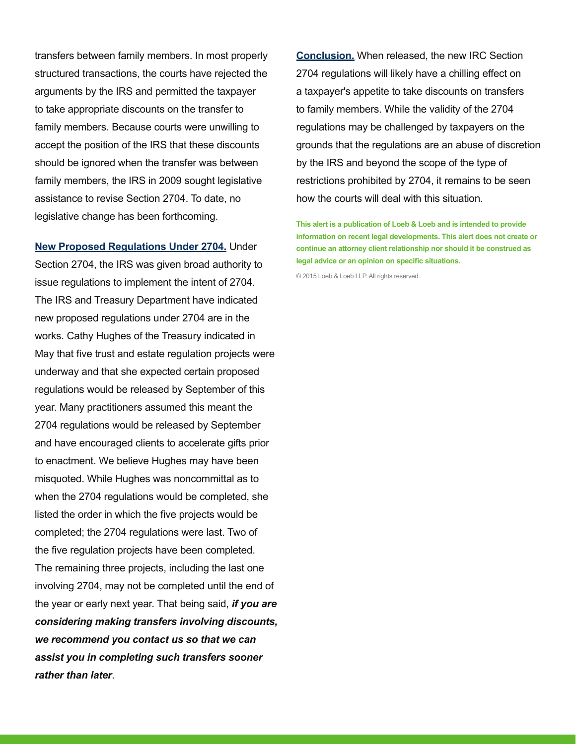transfers between family members. In most properly structured transactions, the courts have rejected the arguments by the IRS and permitted the taxpayer to take appropriate discounts on the transfer to family members. Because courts were unwilling to accept the position of the IRS that these discounts should be ignored when the transfer was between family members, the IRS in 2009 sought legislative assistance to revise Section 2704. To date, no legislative change has been forthcoming.

**New Proposed Regulations Under 2704.** Under Section 2704, the IRS was given broad authority to issue regulations to implement the intent of 2704. The IRS and Treasury Department have indicated new proposed regulations under 2704 are in the works. Cathy Hughes of the Treasury indicated in May that five trust and estate regulation projects were underway and that she expected certain proposed regulations would be released by September of this year. Many practitioners assumed this meant the 2704 regulations would be released by September and have encouraged clients to accelerate gifts prior to enactment. We believe Hughes may have been misquoted. While Hughes was noncommittal as to when the 2704 regulations would be completed, she listed the order in which the five projects would be completed; the 2704 regulations were last. Two of the five regulation projects have been completed. The remaining three projects, including the last one involving 2704, may not be completed until the end of the year or early next year. That being said, *if you are considering making transfers involving discounts, we recommend you contact us so that we can assist you in completing such transfers sooner rather than later*.

**Conclusion.** When released, the new IRC Section 2704 regulations will likely have a chilling effect on a taxpayer's appetite to take discounts on transfers to family members. While the validity of the 2704 regulations may be challenged by taxpayers on the grounds that the regulations are an abuse of discretion by the IRS and beyond the scope of the type of restrictions prohibited by 2704, it remains to be seen how the courts will deal with this situation.

**This alert is a publication of Loeb & Loeb and is intended to provide information on recent legal developments. This alert does not create or continue an attorney client relationship nor should it be construed as legal advice or an opinion on specific situations.** 

© 2015 Loeb & Loeb LLP. All rights reserved.